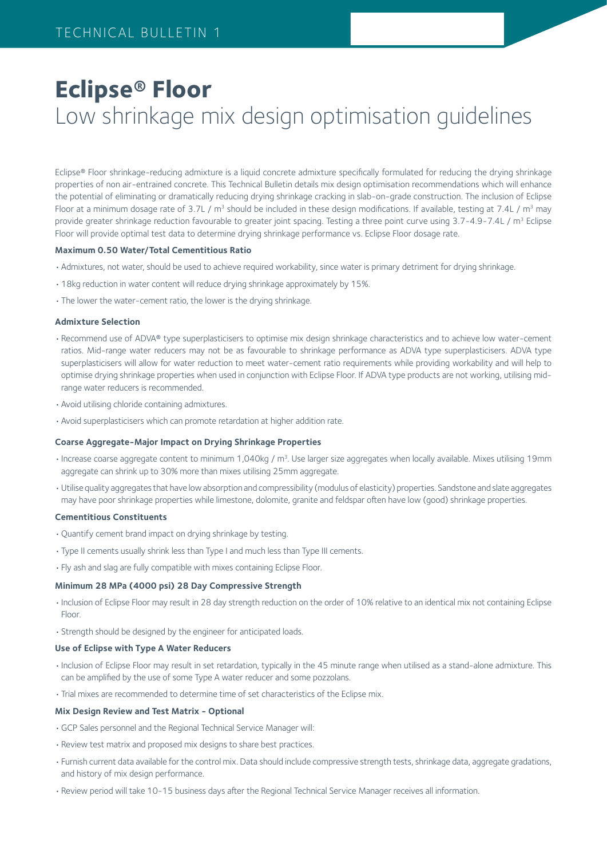# **Eclipse® Floor** Low shrinkage mix design optimisation guidelines

Eclipse® Floor shrinkage-reducing admixture is a liquid concrete admixture specifically formulated for reducing the drying shrinkage properties of non air-entrained concrete. This Technical Bulletin details mix design optimisation recommendations which will enhance the potential of eliminating or dramatically reducing drying shrinkage cracking in slab-on-grade construction. The inclusion of Eclipse Floor at a minimum dosage rate of 3.7L /  $m^3$  should be included in these design modifications. If available, testing at 7.4L /  $m^3$  may provide greater shrinkage reduction favourable to greater joint spacing. Testing a three point curve using 3.7-4.9-7.4L / m<sup>3</sup> Eclipse Floor will provide optimal test data to determine drying shrinkage performance vs. Eclipse Floor dosage rate.

### **Maximum 0.50 Water/Total Cementitious Ratio**

- •Admixtures, not water, should be used to achieve required workability, since water is primary detriment for drying shrinkage.
- •18kg reduction in water content will reduce drying shrinkage approximately by 15%.
- •The lower the water-cement ratio, the lower is the drying shrinkage.

#### **Admixture Selection**

- •Recommend use of ADVA® type superplasticisers to optimise mix design shrinkage characteristics and to achieve low water-cement ratios. Mid-range water reducers may not be as favourable to shrinkage performance as ADVA type superplasticisers. ADVA type superplasticisers will allow for water reduction to meet water-cement ratio requirements while providing workability and will help to optimise drying shrinkage properties when used in conjunction with Eclipse Floor. If ADVA type products are not working, utilising midrange water reducers is recommended.
- •Avoid utilising chloride containing admixtures.
- •Avoid superplasticisers which can promote retardation at higher addition rate.

#### **Coarse Aggregate-Major Impact on Drying Shrinkage Properties**

- Increase coarse aggregate content to minimum 1,040kg /  $m<sup>3</sup>$ . Use larger size aggregates when locally available. Mixes utilising 19mm aggregate can shrink up to 30% more than mixes utilising 25mm aggregate.
- •Utilise quality aggregates that have low absorption and compressibility (modulus of elasticity) properties. Sandstone and slate aggregates may have poor shrinkage properties while limestone, dolomite, granite and feldspar often have low (good) shrinkage properties.

### **Cementitious Constituents**

- •Quantify cement brand impact on drying shrinkage by testing.
- •Type II cements usually shrink less than Type I and much less than Type III cements.
- •Fly ash and slag are fully compatible with mixes containing Eclipse Floor.

# **Minimum 28 MPa (4000 psi) 28 Day Compressive Strength**

- •Inclusion of Eclipse Floor may result in 28 day strength reduction on the order of 10% relative to an identical mix not containing Eclipse Floor.
- •Strength should be designed by the engineer for anticipated loads.

#### **Use of Eclipse with Type A Water Reducers**

- •Inclusion of Eclipse Floor may result in set retardation, typically in the 45 minute range when utilised as a stand-alone admixture. This can be amplified by the use of some Type A water reducer and some pozzolans.
- •Trial mixes are recommended to determine time of set characteristics of the Eclipse mix.

### **Mix Design Review and Test Matrix - Optional**

- •GCP Sales personnel and the Regional Technical Service Manager will:
- •Review test matrix and proposed mix designs to share best practices.
- •Furnish current data available for the control mix. Data should include compressive strength tests, shrinkage data, aggregate gradations, and history of mix design performance.
- •Review period will take 10-15 business days after the Regional Technical Service Manager receives all information.